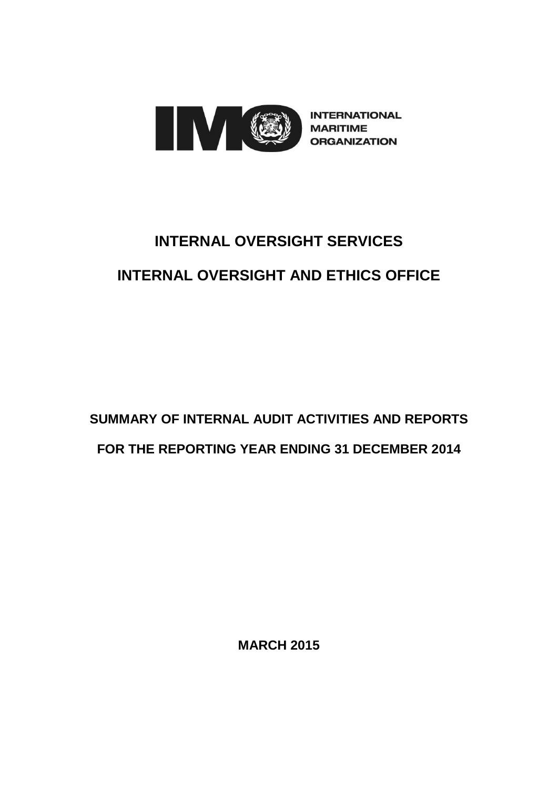

**INTERNATIONAL MARITIME ORGANIZATION** 

# **INTERNAL OVERSIGHT SERVICES INTERNAL OVERSIGHT AND ETHICS OFFICE**

## **SUMMARY OF INTERNAL AUDIT ACTIVITIES AND REPORTS FOR THE REPORTING YEAR ENDING 31 DECEMBER 2014**

**MARCH 2015**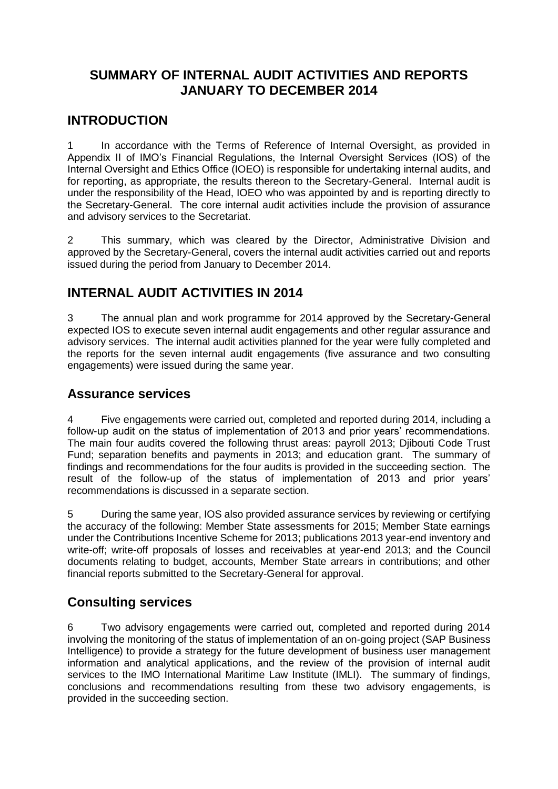#### **SUMMARY OF INTERNAL AUDIT ACTIVITIES AND REPORTS JANUARY TO DECEMBER 2014**

#### **INTRODUCTION**

1 In accordance with the Terms of Reference of Internal Oversight, as provided in Appendix II of IMO's Financial Regulations, the Internal Oversight Services (IOS) of the Internal Oversight and Ethics Office (IOEO) is responsible for undertaking internal audits, and for reporting, as appropriate, the results thereon to the Secretary-General. Internal audit is under the responsibility of the Head, IOEO who was appointed by and is reporting directly to the Secretary-General. The core internal audit activities include the provision of assurance and advisory services to the Secretariat.

2 This summary, which was cleared by the Director, Administrative Division and approved by the Secretary-General, covers the internal audit activities carried out and reports issued during the period from January to December 2014.

## **INTERNAL AUDIT ACTIVITIES IN 2014**

3 The annual plan and work programme for 2014 approved by the Secretary-General expected IOS to execute seven internal audit engagements and other regular assurance and advisory services. The internal audit activities planned for the year were fully completed and the reports for the seven internal audit engagements (five assurance and two consulting engagements) were issued during the same year.

#### **Assurance services**

4 Five engagements were carried out, completed and reported during 2014, including a follow-up audit on the status of implementation of 2013 and prior years' recommendations. The main four audits covered the following thrust areas: payroll 2013; Djibouti Code Trust Fund; separation benefits and payments in 2013; and education grant. The summary of findings and recommendations for the four audits is provided in the succeeding section. The result of the follow-up of the status of implementation of 2013 and prior years' recommendations is discussed in a separate section.

5 During the same year, IOS also provided assurance services by reviewing or certifying the accuracy of the following: Member State assessments for 2015; Member State earnings under the Contributions Incentive Scheme for 2013; publications 2013 year-end inventory and write-off; write-off proposals of losses and receivables at year-end 2013; and the Council documents relating to budget, accounts, Member State arrears in contributions; and other financial reports submitted to the Secretary-General for approval.

#### **Consulting services**

6 Two advisory engagements were carried out, completed and reported during 2014 involving the monitoring of the status of implementation of an on-going project (SAP Business Intelligence) to provide a strategy for the future development of business user management information and analytical applications, and the review of the provision of internal audit services to the IMO International Maritime Law Institute (IMLI). The summary of findings, conclusions and recommendations resulting from these two advisory engagements, is provided in the succeeding section.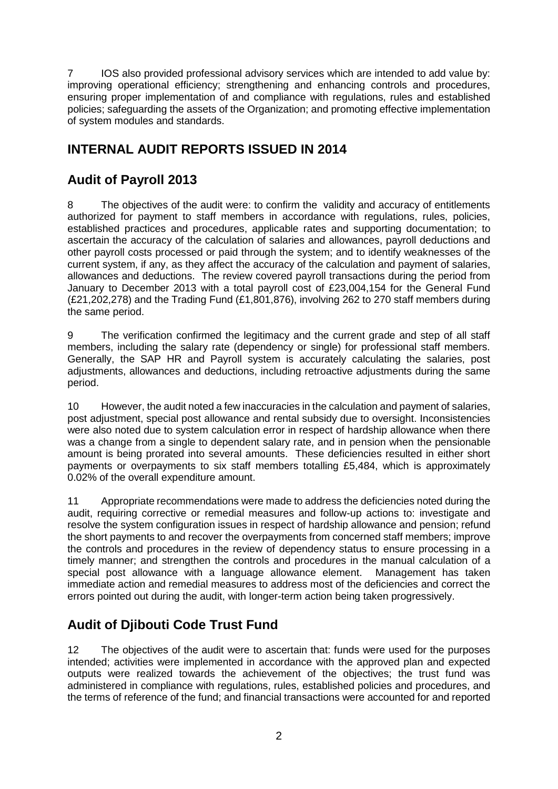7 IOS also provided professional advisory services which are intended to add value by: improving operational efficiency; strengthening and enhancing controls and procedures, ensuring proper implementation of and compliance with regulations, rules and established policies; safeguarding the assets of the Organization; and promoting effective implementation of system modules and standards.

## **INTERNAL AUDIT REPORTS ISSUED IN 2014**

## **Audit of Payroll 2013**

8 The objectives of the audit were: to confirm the validity and accuracy of entitlements authorized for payment to staff members in accordance with regulations, rules, policies, established practices and procedures, applicable rates and supporting documentation; to ascertain the accuracy of the calculation of salaries and allowances, payroll deductions and other payroll costs processed or paid through the system; and to identify weaknesses of the current system, if any, as they affect the accuracy of the calculation and payment of salaries, allowances and deductions. The review covered payroll transactions during the period from January to December 2013 with a total payroll cost of £23,004,154 for the General Fund (£21,202,278) and the Trading Fund (£1,801,876), involving 262 to 270 staff members during the same period.

9 The verification confirmed the legitimacy and the current grade and step of all staff members, including the salary rate (dependency or single) for professional staff members. Generally, the SAP HR and Payroll system is accurately calculating the salaries, post adjustments, allowances and deductions, including retroactive adjustments during the same period.

10 However, the audit noted a few inaccuracies in the calculation and payment of salaries, post adjustment, special post allowance and rental subsidy due to oversight. Inconsistencies were also noted due to system calculation error in respect of hardship allowance when there was a change from a single to dependent salary rate, and in pension when the pensionable amount is being prorated into several amounts. These deficiencies resulted in either short payments or overpayments to six staff members totalling £5,484, which is approximately 0.02% of the overall expenditure amount.

11 Appropriate recommendations were made to address the deficiencies noted during the audit, requiring corrective or remedial measures and follow-up actions to: investigate and resolve the system configuration issues in respect of hardship allowance and pension; refund the short payments to and recover the overpayments from concerned staff members; improve the controls and procedures in the review of dependency status to ensure processing in a timely manner; and strengthen the controls and procedures in the manual calculation of a special post allowance with a language allowance element. Management has taken immediate action and remedial measures to address most of the deficiencies and correct the errors pointed out during the audit, with longer-term action being taken progressively.

## **Audit of Djibouti Code Trust Fund**

12 The objectives of the audit were to ascertain that: funds were used for the purposes intended; activities were implemented in accordance with the approved plan and expected outputs were realized towards the achievement of the objectives; the trust fund was administered in compliance with regulations, rules, established policies and procedures, and the terms of reference of the fund; and financial transactions were accounted for and reported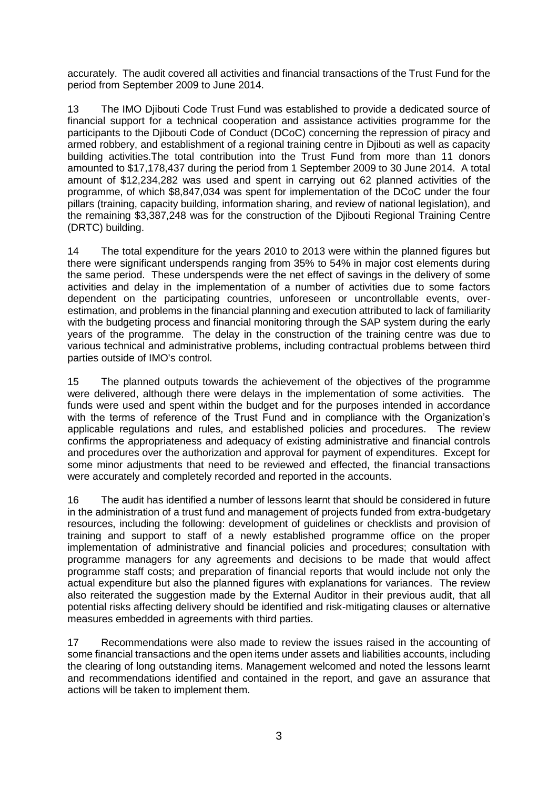accurately. The audit covered all activities and financial transactions of the Trust Fund for the period from September 2009 to June 2014.

13 The IMO Djibouti Code Trust Fund was established to provide a dedicated source of financial support for a technical cooperation and assistance activities programme for the participants to the Djibouti Code of Conduct (DCoC) concerning the repression of piracy and armed robbery, and establishment of a regional training centre in Djibouti as well as capacity building activities.The total contribution into the Trust Fund from more than 11 donors amounted to \$17,178,437 during the period from 1 September 2009 to 30 June 2014. A total amount of \$12,234,282 was used and spent in carrying out 62 planned activities of the programme, of which \$8,847,034 was spent for implementation of the DCoC under the four pillars (training, capacity building, information sharing, and review of national legislation), and the remaining \$3,387,248 was for the construction of the Djibouti Regional Training Centre (DRTC) building.

14 The total expenditure for the years 2010 to 2013 were within the planned figures but there were significant underspends ranging from 35% to 54% in major cost elements during the same period. These underspends were the net effect of savings in the delivery of some activities and delay in the implementation of a number of activities due to some factors dependent on the participating countries, unforeseen or uncontrollable events, overestimation, and problems in the financial planning and execution attributed to lack of familiarity with the budgeting process and financial monitoring through the SAP system during the early years of the programme. The delay in the construction of the training centre was due to various technical and administrative problems, including contractual problems between third parties outside of IMO's control.

15 The planned outputs towards the achievement of the objectives of the programme were delivered, although there were delays in the implementation of some activities. The funds were used and spent within the budget and for the purposes intended in accordance with the terms of reference of the Trust Fund and in compliance with the Organization's applicable regulations and rules, and established policies and procedures. The review confirms the appropriateness and adequacy of existing administrative and financial controls and procedures over the authorization and approval for payment of expenditures. Except for some minor adjustments that need to be reviewed and effected, the financial transactions were accurately and completely recorded and reported in the accounts.

16 The audit has identified a number of lessons learnt that should be considered in future in the administration of a trust fund and management of projects funded from extra-budgetary resources, including the following: development of guidelines or checklists and provision of training and support to staff of a newly established programme office on the proper implementation of administrative and financial policies and procedures; consultation with programme managers for any agreements and decisions to be made that would affect programme staff costs; and preparation of financial reports that would include not only the actual expenditure but also the planned figures with explanations for variances. The review also reiterated the suggestion made by the External Auditor in their previous audit, that all potential risks affecting delivery should be identified and risk-mitigating clauses or alternative measures embedded in agreements with third parties.

17 Recommendations were also made to review the issues raised in the accounting of some financial transactions and the open items under assets and liabilities accounts, including the clearing of long outstanding items. Management welcomed and noted the lessons learnt and recommendations identified and contained in the report, and gave an assurance that actions will be taken to implement them.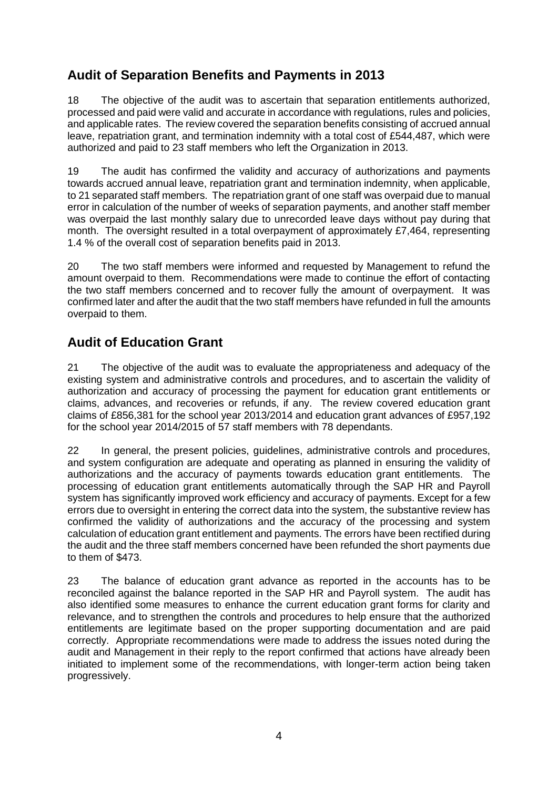## **Audit of Separation Benefits and Payments in 2013**

18 The objective of the audit was to ascertain that separation entitlements authorized, processed and paid were valid and accurate in accordance with regulations, rules and policies, and applicable rates. The review covered the separation benefits consisting of accrued annual leave, repatriation grant, and termination indemnity with a total cost of £544,487, which were authorized and paid to 23 staff members who left the Organization in 2013.

19 The audit has confirmed the validity and accuracy of authorizations and payments towards accrued annual leave, repatriation grant and termination indemnity, when applicable, to 21 separated staff members. The repatriation grant of one staff was overpaid due to manual error in calculation of the number of weeks of separation payments, and another staff member was overpaid the last monthly salary due to unrecorded leave days without pay during that month. The oversight resulted in a total overpayment of approximately £7,464, representing 1.4 % of the overall cost of separation benefits paid in 2013.

20 The two staff members were informed and requested by Management to refund the amount overpaid to them. Recommendations were made to continue the effort of contacting the two staff members concerned and to recover fully the amount of overpayment. It was confirmed later and after the audit that the two staff members have refunded in full the amounts overpaid to them.

## **Audit of Education Grant**

21 The objective of the audit was to evaluate the appropriateness and adequacy of the existing system and administrative controls and procedures, and to ascertain the validity of authorization and accuracy of processing the payment for education grant entitlements or claims, advances, and recoveries or refunds, if any. The review covered education grant claims of £856,381 for the school year 2013/2014 and education grant advances of £957,192 for the school year 2014/2015 of 57 staff members with 78 dependants.

22 In general, the present policies, guidelines, administrative controls and procedures, and system configuration are adequate and operating as planned in ensuring the validity of authorizations and the accuracy of payments towards education grant entitlements. The processing of education grant entitlements automatically through the SAP HR and Payroll system has significantly improved work efficiency and accuracy of payments. Except for a few errors due to oversight in entering the correct data into the system, the substantive review has confirmed the validity of authorizations and the accuracy of the processing and system calculation of education grant entitlement and payments. The errors have been rectified during the audit and the three staff members concerned have been refunded the short payments due to them of \$473.

23 The balance of education grant advance as reported in the accounts has to be reconciled against the balance reported in the SAP HR and Payroll system. The audit has also identified some measures to enhance the current education grant forms for clarity and relevance, and to strengthen the controls and procedures to help ensure that the authorized entitlements are legitimate based on the proper supporting documentation and are paid correctly. Appropriate recommendations were made to address the issues noted during the audit and Management in their reply to the report confirmed that actions have already been initiated to implement some of the recommendations, with longer-term action being taken progressively.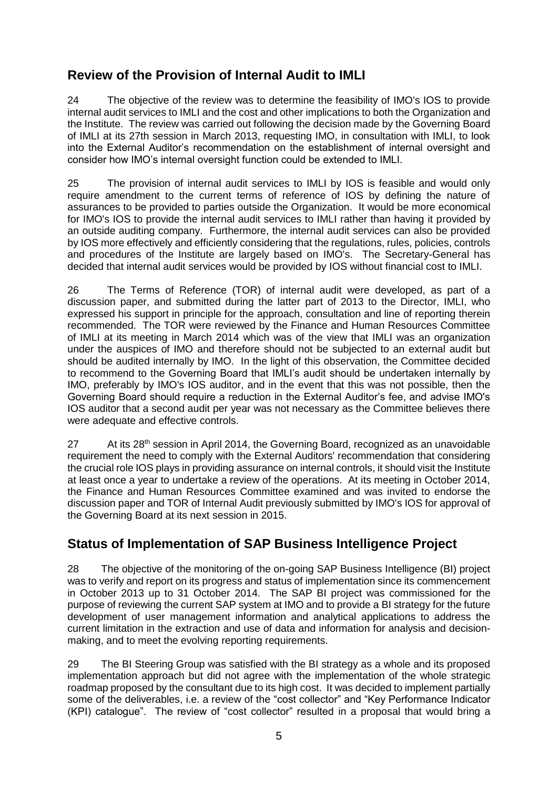## **Review of the Provision of Internal Audit to IMLI**

24 The objective of the review was to determine the feasibility of IMO's IOS to provide internal audit services to IMLI and the cost and other implications to both the Organization and the Institute. The review was carried out following the decision made by the Governing Board of IMLI at its 27th session in March 2013, requesting IMO, in consultation with IMLI, to look into the External Auditor's recommendation on the establishment of internal oversight and consider how IMO's internal oversight function could be extended to IMLI.

25 The provision of internal audit services to IMLI by IOS is feasible and would only require amendment to the current terms of reference of IOS by defining the nature of assurances to be provided to parties outside the Organization. It would be more economical for IMO's IOS to provide the internal audit services to IMLI rather than having it provided by an outside auditing company. Furthermore, the internal audit services can also be provided by IOS more effectively and efficiently considering that the regulations, rules, policies, controls and procedures of the Institute are largely based on IMO's. The Secretary-General has decided that internal audit services would be provided by IOS without financial cost to IMLI.

26 The Terms of Reference (TOR) of internal audit were developed, as part of a discussion paper, and submitted during the latter part of 2013 to the Director, IMLI, who expressed his support in principle for the approach, consultation and line of reporting therein recommended. The TOR were reviewed by the Finance and Human Resources Committee of IMLI at its meeting in March 2014 which was of the view that IMLI was an organization under the auspices of IMO and therefore should not be subjected to an external audit but should be audited internally by IMO. In the light of this observation, the Committee decided to recommend to the Governing Board that IMLI's audit should be undertaken internally by IMO, preferably by IMO's IOS auditor, and in the event that this was not possible, then the Governing Board should require a reduction in the External Auditor's fee, and advise IMO's IOS auditor that a second audit per year was not necessary as the Committee believes there were adequate and effective controls.

27 At its 28th session in April 2014, the Governing Board, recognized as an unavoidable requirement the need to comply with the External Auditors' recommendation that considering the crucial role IOS plays in providing assurance on internal controls, it should visit the Institute at least once a year to undertake a review of the operations. At its meeting in October 2014, the Finance and Human Resources Committee examined and was invited to endorse the discussion paper and TOR of Internal Audit previously submitted by IMO's IOS for approval of the Governing Board at its next session in 2015.

#### **Status of Implementation of SAP Business Intelligence Project**

28 The objective of the monitoring of the on-going SAP Business Intelligence (BI) project was to verify and report on its progress and status of implementation since its commencement in October 2013 up to 31 October 2014. The SAP BI project was commissioned for the purpose of reviewing the current SAP system at IMO and to provide a BI strategy for the future development of user management information and analytical applications to address the current limitation in the extraction and use of data and information for analysis and decisionmaking, and to meet the evolving reporting requirements.

29 The BI Steering Group was satisfied with the BI strategy as a whole and its proposed implementation approach but did not agree with the implementation of the whole strategic roadmap proposed by the consultant due to its high cost. It was decided to implement partially some of the deliverables, i.e. a review of the "cost collector" and "Key Performance Indicator (KPI) catalogue". The review of "cost collector" resulted in a proposal that would bring a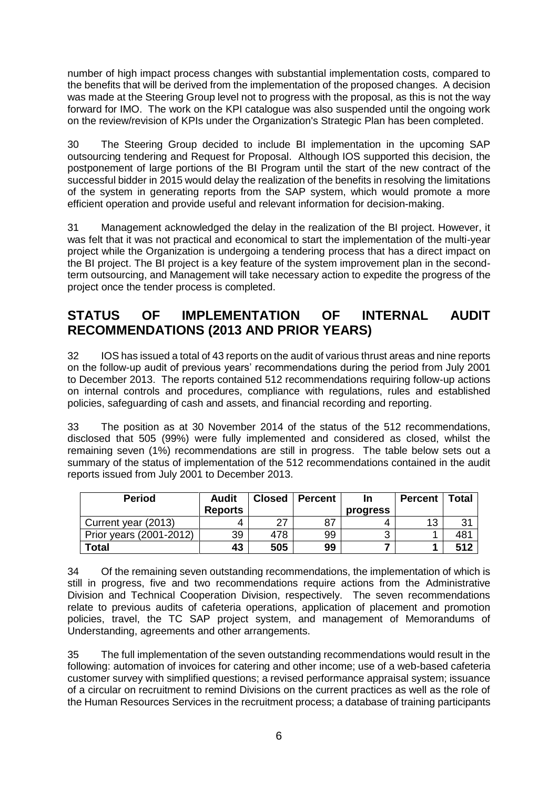number of high impact process changes with substantial implementation costs, compared to the benefits that will be derived from the implementation of the proposed changes. A decision was made at the Steering Group level not to progress with the proposal, as this is not the way forward for IMO. The work on the KPI catalogue was also suspended until the ongoing work on the review/revision of KPIs under the Organization's Strategic Plan has been completed.

30 The Steering Group decided to include BI implementation in the upcoming SAP outsourcing tendering and Request for Proposal. Although IOS supported this decision, the postponement of large portions of the BI Program until the start of the new contract of the successful bidder in 2015 would delay the realization of the benefits in resolving the limitations of the system in generating reports from the SAP system, which would promote a more efficient operation and provide useful and relevant information for decision-making.

31 Management acknowledged the delay in the realization of the BI project. However, it was felt that it was not practical and economical to start the implementation of the multi-year project while the Organization is undergoing a tendering process that has a direct impact on the BI project. The BI project is a key feature of the system improvement plan in the secondterm outsourcing, and Management will take necessary action to expedite the progress of the project once the tender process is completed.

#### **STATUS OF IMPLEMENTATION OF INTERNAL AUDIT RECOMMENDATIONS (2013 AND PRIOR YEARS)**

32 IOS has issued a total of 43 reports on the audit of various thrust areas and nine reports on the follow-up audit of previous years' recommendations during the period from July 2001 to December 2013. The reports contained 512 recommendations requiring follow-up actions on internal controls and procedures, compliance with regulations, rules and established policies, safeguarding of cash and assets, and financial recording and reporting.

33 The position as at 30 November 2014 of the status of the 512 recommendations, disclosed that 505 (99%) were fully implemented and considered as closed, whilst the remaining seven (1%) recommendations are still in progress. The table below sets out a summary of the status of implementation of the 512 recommendations contained in the audit reports issued from July 2001 to December 2013.

| <b>Period</b>           | <b>Audit</b>   | <b>Closed</b> | <b>Percent</b> | In       | <b>Percent</b> | Total        |
|-------------------------|----------------|---------------|----------------|----------|----------------|--------------|
|                         | <b>Reports</b> |               |                | progress |                |              |
| Current year (2013)     | 4              | 27            | -87            |          | 13             | $\mathbf{R}$ |
| Prior years (2001-2012) | 39             | 478           | 99             | ົ        |                | 48'          |
| Total                   | 43             | 505           | 99             |          |                | 512          |

34 Of the remaining seven outstanding recommendations, the implementation of which is still in progress, five and two recommendations require actions from the Administrative Division and Technical Cooperation Division, respectively. The seven recommendations relate to previous audits of cafeteria operations, application of placement and promotion policies, travel, the TC SAP project system, and management of Memorandums of Understanding, agreements and other arrangements.

35 The full implementation of the seven outstanding recommendations would result in the following: automation of invoices for catering and other income; use of a web-based cafeteria customer survey with simplified questions; a revised performance appraisal system; issuance of a circular on recruitment to remind Divisions on the current practices as well as the role of the Human Resources Services in the recruitment process; a database of training participants